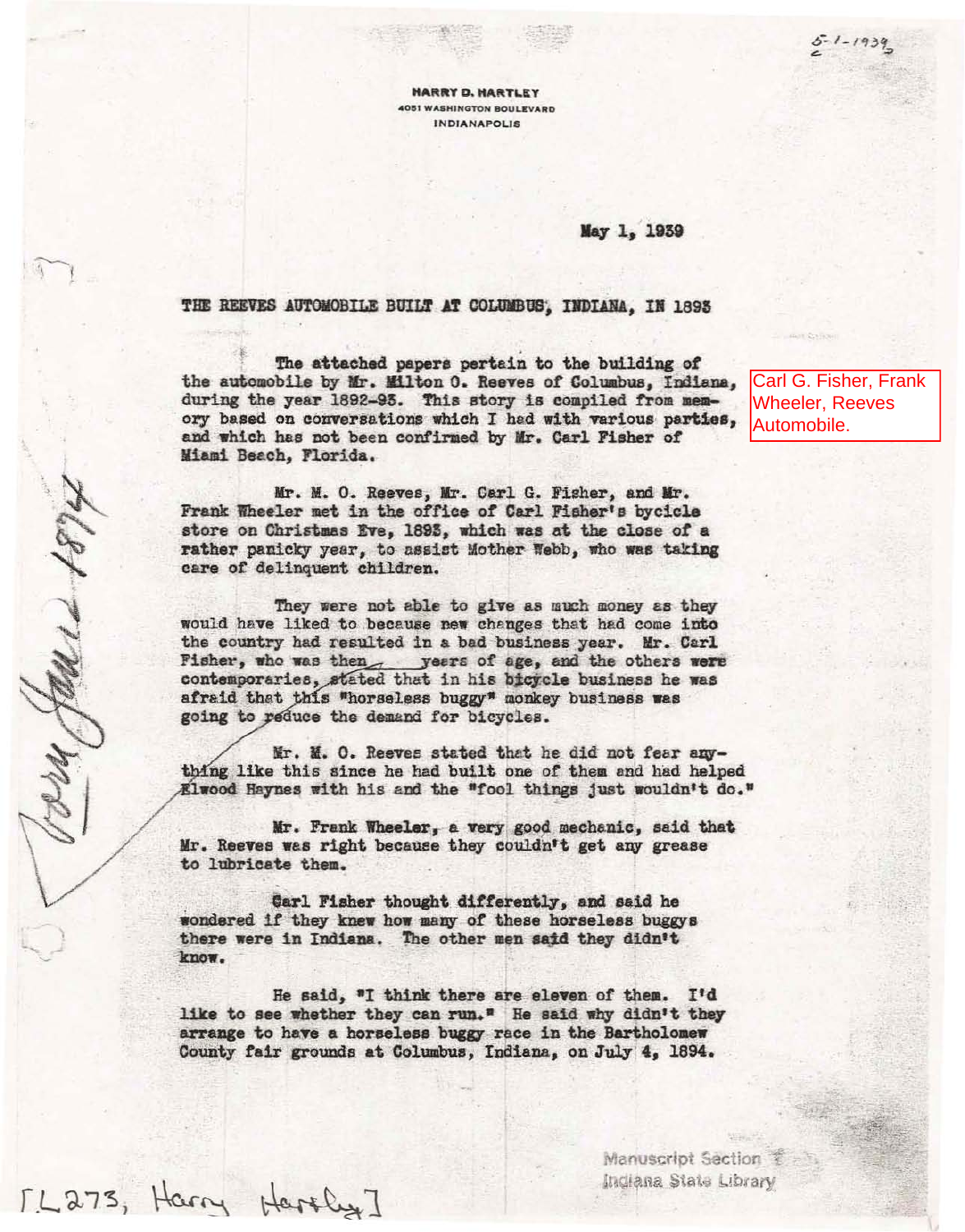$5 - 1 - 1939$ 

**HARRY D. HARTLEY 4051 WASHINGTON BOULEVARD** INDIANAPOLIS

May 1, 1939

## THE REEVES AUTOMOBILE BUILT AT COLUMBUS, INDIANA. IN 1893

The attached papers pertain to the building of the automobile by Mr. Milton O. Reeves of Columbus. Indiana. during the year 1892-93. This story is compiled from memory based on conversations which I had with various parties. and which has not been confirmed by Mr. Carl Fisher of Miami Beach, Florida.

Mr. M. O. Reeves, Mr. Carl G. Fisher, and Mr. Frank Wheeler met in the office of Carl Fisher's bycicle store on Christmas Eve, 1893, which was at the close of a rather panicky year, to assist Mother Webb, who was taking care of delinquent children.

They were not able to give as much money as they would have liked to because new changes that had come into the country had resulted in a bad business year. Mr. Carl Fisher, who was then, years of age, and the others were contemporaries, stated that in his bicycle business he was afraid that this "horseless buggy" monkey business was going to reduce the demand for bicycles.

Gordy Halled 1874

[L273, Harry Haroly]

Mr. M. O. Reeves stated that he did not fear anything like this since he had built one of them and had helped Elwood Haynes with his and the "fool things just wouldn't do."

Mr. Frank Wheeler, a very good mechanic, said that Mr. Reeves was right because they couldn't get any grease to lubricate them.

Carl Fisher thought differently, and said he wondered if they knew how many of these horseless buggys there were in Indiana. The other men said they didn't know.

He said, "I think there are eleven of them. I'd like to see whether they can run." He said why didn't they arrange to have a horseless buggy race in the Bartholomew County fair grounds at Columbus, Indiana, on July 4, 1894.

Carl G. Fisher, Frank **Wheeler, Reeves** Automobile.

Manuscript Section Indiana State Library